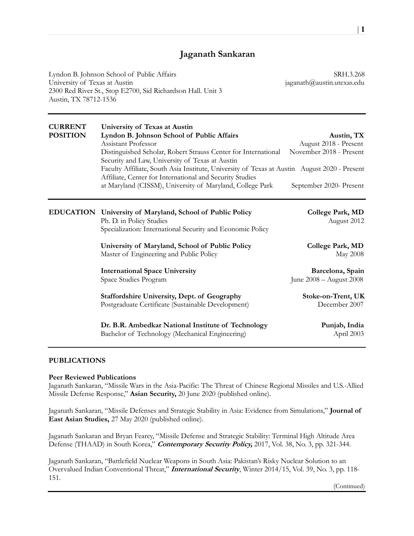# Jaganath Sankaran

Lyndon B. Johnson School of Public Affairs SRH.3.268 University of Texas at Austin is a state of the state of the state of the state of the state of the state of the state of the state of the state of the state of the state of the state of the state of the state of the state 2300 Red River St., Stop E2700, Sid Richardson Hall. Unit 3 Austin, TX 78712-1536

| <b>CURRENT</b><br><b>POSITION</b> | University of Texas at Austin<br>Lyndon B. Johnson School of Public Affairs<br>Assistant Professor<br>Distinguished Scholar, Robert Strauss Center for International<br>Security and Law, University of Texas at Austin<br>Faculty Affiliate, South Asia Institute, University of Texas at Austin August 2020 - Present<br>Affiliate, Center for International and Security Studies<br>at Maryland (CISSM), University of Maryland, College Park | Austin, TX<br>August 2018 - Present<br>November 2018 - Present<br>September 2020- Present |
|-----------------------------------|--------------------------------------------------------------------------------------------------------------------------------------------------------------------------------------------------------------------------------------------------------------------------------------------------------------------------------------------------------------------------------------------------------------------------------------------------|-------------------------------------------------------------------------------------------|
|                                   | EDUCATION University of Maryland, School of Public Policy<br>Ph. D. in Policy Studies<br>Specialization: International Security and Economic Policy                                                                                                                                                                                                                                                                                              | College Park, MD<br>August 2012                                                           |
|                                   | University of Maryland, School of Public Policy<br>Master of Engineering and Public Policy                                                                                                                                                                                                                                                                                                                                                       | College Park, MD<br>May 2008                                                              |
|                                   | <b>International Space University</b><br>Space Studies Program                                                                                                                                                                                                                                                                                                                                                                                   | Barcelona, Spain<br>June 2008 - August 2008                                               |
|                                   | <b>Staffordshire University, Dept. of Geography</b><br>Postgraduate Certificate (Sustainable Development)                                                                                                                                                                                                                                                                                                                                        | Stoke-on-Trent, UK<br>December 2007                                                       |
|                                   | Dr. B.R. Ambedkar National Institute of Technology<br>Bachelor of Technology (Mechanical Engineering)                                                                                                                                                                                                                                                                                                                                            | Punjab, India<br>April 2003                                                               |

### PUBLICATIONS

#### Peer Reviewed Publications

Jaganath Sankaran, "Missile Wars in the Asia-Pacific: The Threat of Chinese Regional Missiles and U.S.-Allied Missile Defense Response," Asian Security, 20 June 2020 (published online).

Jaganath Sankaran, "Missile Defenses and Strategic Stability in Asia: Evidence from Simulations," Journal of East Asian Studies, 27 May 2020 (published online).

Jaganath Sankaran and Bryan Fearey, "Missile Defense and Strategic Stability: Terminal High Altitude Area Defense (THAAD) in South Korea," Contemporary Security Policy, 2017, Vol. 38, No. 3, pp. 321-344.

Jaganath Sankaran, "Battlefield Nuclear Weapons in South Asia: Pakistan's Risky Nuclear Solution to an Overvalued Indian Conventional Threat," *International Security*, Winter 2014/15, Vol. 39, No. 3, pp. 118-151.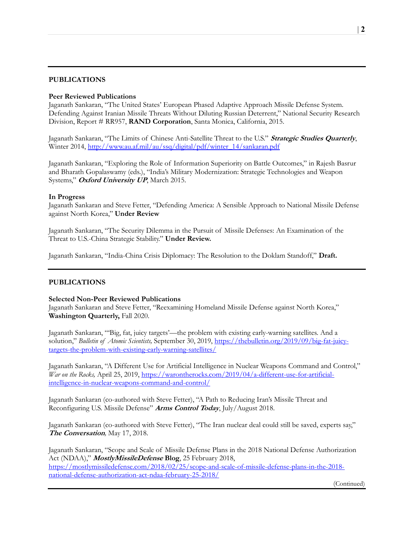# PUBLICATIONS

## Peer Reviewed Publications

Jaganath Sankaran, "The United States' European Phased Adaptive Approach Missile Defense System. Defending Against Iranian Missile Threats Without Diluting Russian Deterrent," National Security Research Division, Report # RR957, RAND Corporation, Santa Monica, California, 2015.

Jaganath Sankaran, "The Limits of Chinese Anti-Satellite Threat to the U.S." Strategic Studies Quarterly, Winter 2014, http://www.au.af.mil/au/ssq/digital/pdf/winter\_14/sankaran.pdf

Jaganath Sankaran, "Exploring the Role of Information Superiority on Battle Outcomes," in Rajesh Basrur and Bharath Gopalaswamy (eds.), "India's Military Modernization: Strategic Technologies and Weapon Systems," Oxford University UP, March 2015.

### In Progress

Jaganath Sankaran and Steve Fetter, "Defending America: A Sensible Approach to National Missile Defense against North Korea," Under Review

Jaganath Sankaran, "The Security Dilemma in the Pursuit of Missile Defenses: An Examination of the Threat to U.S.-China Strategic Stability." Under Review.

Jaganath Sankaran, "India-China Crisis Diplomacy: The Resolution to the Doklam Standoff," Draft.

### PUBLICATIONS

### Selected Non-Peer Reviewed Publications

Jaganath Sankaran and Steve Fetter, "Reexamining Homeland Missile Defense against North Korea," Washington Quarterly, Fall 2020.

Jaganath Sankaran, "'Big, fat, juicy targets'—the problem with existing early-warning satellites. And a solution," Bulletin of Atomic Scientists, September 30, 2019, https://thebulletin.org/2019/09/big-fat-juicytargets-the-problem-with-existing-early-warning-satellites/

Jaganath Sankaran, "A Different Use for Artificial Intelligence in Nuclear Weapons Command and Control," War on the Rocks, April 25, 2019, https://warontherocks.com/2019/04/a-different-use-for-artificialintelligence-in-nuclear-weapons-command-and-control/

Jaganath Sankaran (co-authored with Steve Fetter), "A Path to Reducing Iran's Missile Threat and Reconfiguring U.S. Missile Defense" Arms Control Today, July/August 2018.

Jaganath Sankaran (co-authored with Steve Fetter), "The Iran nuclear deal could still be saved, experts say," The Conversation, May 17, 2018.

Jaganath Sankaran, "Scope and Scale of Missile Defense Plans in the 2018 National Defense Authorization Act (NDAA)," *MostlyMissileDefense* Blog, 25 February 2018, https://mostlymissiledefense.com/2018/02/25/scope-and-scale-of-missile-defense-plans-in-the-2018 national-defense-authorization-act-ndaa-february-25-2018/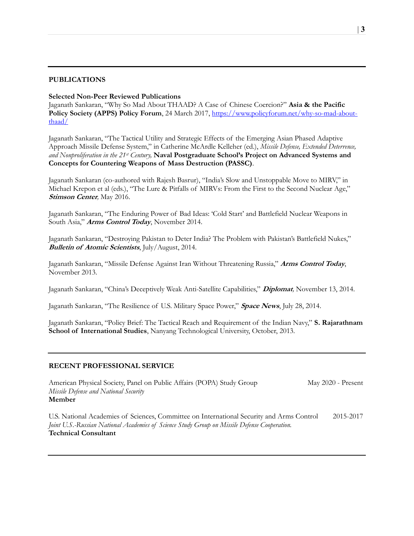## PUBLICATIONS

## Selected Non-Peer Reviewed Publications

Jaganath Sankaran, "Why So Mad About THAAD? A Case of Chinese Coercion?" Asia & the Pacific Policy Society (APPS) Policy Forum, 24 March 2017, https://www.policyforum.net/why-so-mad-aboutthaad/

Jaganath Sankaran, "The Tactical Utility and Strategic Effects of the Emerging Asian Phased Adaptive Approach Missile Defense System," in Catherine McArdle Kelleher (ed.), Missile Defense, Extended Deterrence, and Nonproliferation in the  $21<sup>st</sup>$  Century, **Naval Postgraduate School's Project on Advanced Systems and** Concepts for Countering Weapons of Mass Destruction (PASSC).

Jaganath Sankaran (co-authored with Rajesh Basrur), "India's Slow and Unstoppable Move to MIRV," in Michael Krepon et al (eds.), "The Lure & Pitfalls of MIRVs: From the First to the Second Nuclear Age," Stimson Center, May 2016.

Jaganath Sankaran, "The Enduring Power of Bad Ideas: 'Cold Start' and Battlefield Nuclear Weapons in South Asia," Arms Control Today, November 2014.

Jaganath Sankaran, "Destroying Pakistan to Deter India? The Problem with Pakistan's Battlefield Nukes," Bulletin of Atomic Scientists, July/August, 2014.

Jaganath Sankaran, "Missile Defense Against Iran Without Threatening Russia," Arms Control Today, November 2013.

Jaganath Sankaran, "China's Deceptively Weak Anti-Satellite Capabilities," Diplomat, November 13, 2014.

Jaganath Sankaran, "The Resilience of U.S. Military Space Power," Space News, July 28, 2014.

Jaganath Sankaran, "Policy Brief: The Tactical Reach and Requirement of the Indian Navy," S. Rajarathnam School of International Studies, Nanyang Technological University, October, 2013.

#### RECENT PROFESSIONAL SERVICE

American Physical Society, Panel on Public Affairs (POPA) Study Group May 2020 - Present Missile Defense and National Security Member

U.S. National Academies of Sciences, Committee on International Security and Arms Control 2015-2017 Joint U.S.-Russian National Academies of Science Study Group on Missile Defense Cooperation. Technical Consultant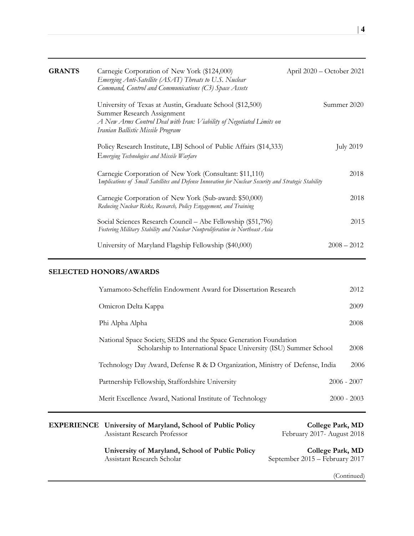| <b>GRANTS</b> | Carnegie Corporation of New York (\$124,000)<br>Emerging Anti-Satellite (ASAT) Threats to U.S. Nuclear<br>Command, Control and Communications (C3) Space Assets                                      | April 2020 – October 2021 |
|---------------|------------------------------------------------------------------------------------------------------------------------------------------------------------------------------------------------------|---------------------------|
|               | University of Texas at Austin, Graduate School (\$12,500)<br>Summer Research Assignment<br>A New Arms Control Deal with Iran: Viability of Negotiated Limits on<br>Iranian Ballistic Missile Program | Summer 2020               |
|               | Policy Research Institute, LBJ School of Public Affairs (\$14,333)<br>Emerging Technologies and Missile Warfare                                                                                      | <b>July 2019</b>          |
|               | Carnegie Corporation of New York (Consultant: \$11,110)<br>Implications of Small Satellites and Defense Innovation for Nuclear Security and Strategic Stability                                      | 2018                      |
|               | Carnegie Corporation of New York (Sub-award: \$50,000)<br>Reducing Nuclear Risks, Research, Policy Engagement, and Training                                                                          | 2018                      |
|               | Social Sciences Research Council – Abe Fellowship (\$51,796)<br>Fostering Military Stability and Nuclear Nonproliferation in Northeast Asia                                                          | 2015                      |
|               | University of Maryland Flagship Fellowship (\$40,000)                                                                                                                                                | $2008 - 2012$             |

# SELECTED HONORS/AWARDS

| Yamamoto-Scheffelin Endowment Award for Dissertation Research                                                                         |               | 2012 |
|---------------------------------------------------------------------------------------------------------------------------------------|---------------|------|
| Omicron Delta Kappa                                                                                                                   |               | 2009 |
| Phi Alpha Alpha                                                                                                                       |               | 2008 |
| National Space Society, SEDS and the Space Generation Foundation<br>Scholarship to International Space University (ISU) Summer School |               | 2008 |
| Technology Day Award, Defense R & D Organization, Ministry of Defense, India                                                          |               | 2006 |
| Partnership Fellowship, Staffordshire University                                                                                      | $2006 - 2007$ |      |
| Merit Excellence Award, National Institute of Technology                                                                              | $2000 - 2003$ |      |
|                                                                                                                                       |               |      |

| <b>EXPERIENCE</b> University of Maryland, School of Public Policy<br>Assistant Research Professor | College Park, MD<br>February 2017- August 2018     |
|---------------------------------------------------------------------------------------------------|----------------------------------------------------|
| University of Maryland, School of Public Policy<br>Assistant Research Scholar                     | College Park, MD<br>September 2015 – February 2017 |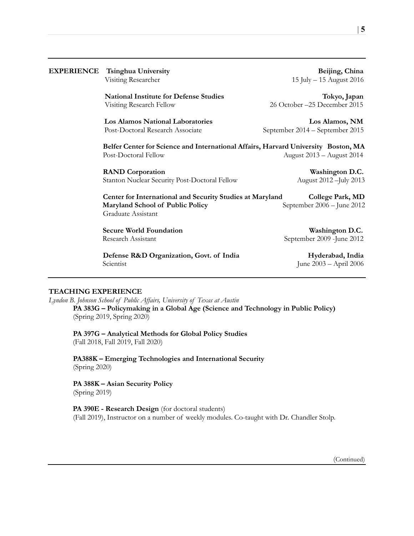| <b>EXPERIENCE</b> | <b>Tsinghua University</b><br>Visiting Researcher                                                                   | Beijing, China<br>15 July - 15 August 2016        |
|-------------------|---------------------------------------------------------------------------------------------------------------------|---------------------------------------------------|
|                   | <b>National Institute for Defense Studies</b><br>Visiting Research Fellow                                           | Tokyo, Japan<br>26 October -25 December 2015      |
|                   | <b>Los Alamos National Laboratories</b><br>Post-Doctoral Research Associate                                         | Los Alamos, NM<br>September 2014 – September 2015 |
|                   | Belfer Center for Science and International Affairs, Harvard University Boston, MA<br>Post-Doctoral Fellow          | August 2013 - August 2014                         |
|                   | <b>RAND</b> Corporation<br>Stanton Nuclear Security Post-Doctoral Fellow                                            | Washington D.C.<br>August 2012 - July 2013        |
|                   | Center for International and Security Studies at Maryland<br>Maryland School of Public Policy<br>Graduate Assistant | College Park, MD<br>September 2006 - June 2012    |
|                   | <b>Secure World Foundation</b><br>Research Assistant                                                                | Washington D.C.<br>September 2009 - June 2012     |
|                   | Defense R&D Organization, Govt. of India<br>Scientist                                                               | Hyderabad, India<br>June 2003 - April 2006        |

## TEACHING EXPERIENCE

Lyndon B. Johnson School of Public Affairs, University of Texas at Austin PA 383G – Policymaking in a Global Age (Science and Technology in Public Policy) (Spring 2019, Spring 2020)

PA 397G – Analytical Methods for Global Policy Studies (Fall 2018, Fall 2019, Fall 2020)

PA388K – Emerging Technologies and International Security (Spring 2020)

PA 388K – Asian Security Policy (Spring 2019)

PA 390E - Research Design (for doctoral students) (Fall 2019), Instructor on a number of weekly modules. Co-taught with Dr. Chandler Stolp.  $| 5$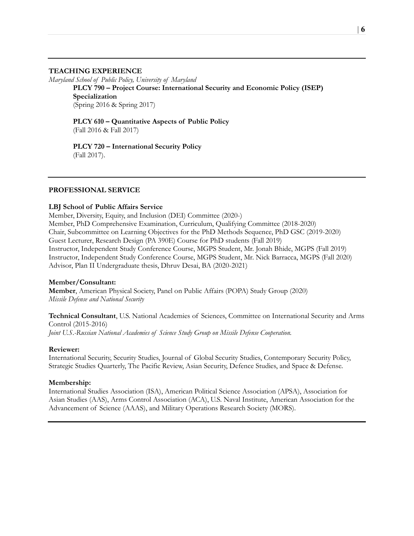#### TEACHING EXPERIENCE

Maryland School of Public Policy, University of Maryland

PLCY 790 – Project Course: International Security and Economic Policy (ISEP) Specialization (Spring 2016 & Spring 2017)

PLCY 610 – Quantitative Aspects of Public Policy (Fall 2016 & Fall 2017)

PLCY 720 – International Security Policy (Fall 2017).

## PROFESSIONAL SERVICE

#### LBJ School of Public Affairs Service

Member, Diversity, Equity, and Inclusion (DEI) Committee (2020-) Member, PhD Comprehensive Examination, Curriculum, Qualifying Committee (2018-2020) Chair, Subcommittee on Learning Objectives for the PhD Methods Sequence, PhD GSC (2019-2020) Guest Lecturer, Research Design (PA 390E) Course for PhD students (Fall 2019) Instructor, Independent Study Conference Course, MGPS Student, Mr. Jonah Bhide, MGPS (Fall 2019) Instructor, Independent Study Conference Course, MGPS Student, Mr. Nick Barracca, MGPS (Fall 2020) Advisor, Plan II Undergraduate thesis, Dhruv Desai, BA (2020-2021)

#### Member/Consultant:

Member, American Physical Society, Panel on Public Affairs (POPA) Study Group (2020) Missile Defense and National Security

Technical Consultant, U.S. National Academies of Sciences, Committee on International Security and Arms Control (2015-2016) Joint U.S.-Russian National Academies of Science Study Group on Missile Defense Cooperation.

#### Reviewer:

International Security, Security Studies, Journal of Global Security Studies, Contemporary Security Policy, Strategic Studies Quarterly, The Pacific Review, Asian Security, Defence Studies, and Space & Defense.

#### Membership:

International Studies Association (ISA), American Political Science Association (APSA), Association for Asian Studies (AAS), Arms Control Association (ACA), U.S. Naval Institute, American Association for the Advancement of Science (AAAS), and Military Operations Research Society (MORS).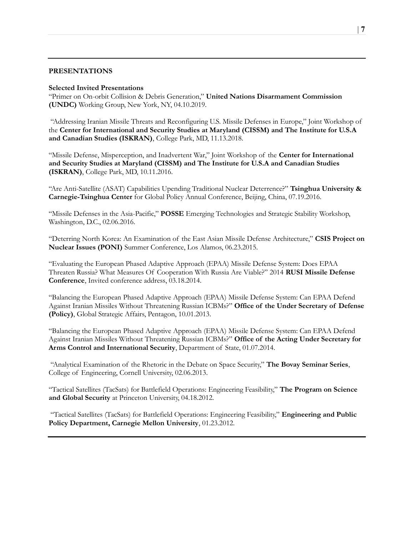## PRESENTATIONS

#### Selected Invited Presentations

"Primer on On-orbit Collision & Debris Generation," United Nations Disarmament Commission (UNDC) Working Group, New York, NY, 04.10.2019.

 "Addressing Iranian Missile Threats and Reconfiguring U.S. Missile Defenses in Europe," Joint Workshop of the Center for International and Security Studies at Maryland (CISSM) and The Institute for U.S.A and Canadian Studies (ISKRAN), College Park, MD, 11.13.2018.

"Missile Defense, Misperception, and Inadvertent War," Joint Workshop of the Center for International and Security Studies at Maryland (CISSM) and The Institute for U.S.A and Canadian Studies (ISKRAN), College Park, MD, 10.11.2016.

"Are Anti-Satellite (ASAT) Capabilities Upending Traditional Nuclear Deterrence?" Tsinghua University & Carnegie-Tsinghua Center for Global Policy Annual Conference, Beijing, China, 07.19.2016.

"Missile Defenses in the Asia-Pacific," POSSE Emerging Technologies and Strategic Stability Workshop, Washington, D.C., 02.06.2016.

"Deterring North Korea: An Examination of the East Asian Missile Defense Architecture," CSIS Project on Nuclear Issues (PONI) Summer Conference, Los Alamos, 06.23.2015.

"Evaluating the European Phased Adaptive Approach (EPAA) Missile Defense System: Does EPAA Threaten Russia? What Measures Of Cooperation With Russia Are Viable?" 2014 RUSI Missile Defense Conference, Invited conference address, 03.18.2014.

"Balancing the European Phased Adaptive Approach (EPAA) Missile Defense System: Can EPAA Defend Against Iranian Missiles Without Threatening Russian ICBMs?" Office of the Under Secretary of Defense (Policy), Global Strategic Affairs, Pentagon, 10.01.2013.

"Balancing the European Phased Adaptive Approach (EPAA) Missile Defense System: Can EPAA Defend Against Iranian Missiles Without Threatening Russian ICBMs?" Office of the Acting Under Secretary for Arms Control and International Security, Department of State, 01.07.2014.

 "Analytical Examination of the Rhetoric in the Debate on Space Security," The Bovay Seminar Series, College of Engineering, Cornell University, 02.06.2013.

"Tactical Satellites (TacSats) for Battlefield Operations: Engineering Feasibility," The Program on Science and Global Security at Princeton University, 04.18.2012.

 "Tactical Satellites (TacSats) for Battlefield Operations: Engineering Feasibility," Engineering and Public Policy Department, Carnegie Mellon University, 01.23.2012.